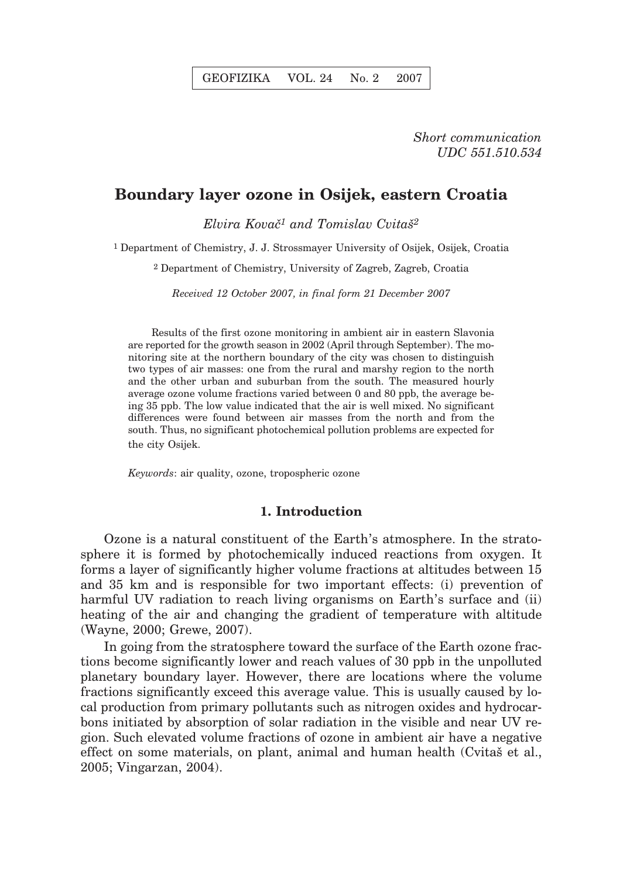*Short communication UDC 551.510.534*

# **Boundary layer ozone in Osijek, eastern Croatia**

*Elvira Kovač<sup>1</sup> and Tomislav Cvitaš<sup>2</sup>* 

1 Department of Chemistry, J. J. Strossmayer University of Osijek, Osijek, Croatia

2 Department of Chemistry, University of Zagreb, Zagreb, Croatia

*Received 12 October 2007, in final form 21 December 2007*

Results of the first ozone monitoring in ambient air in eastern Slavonia are reported for the growth season in 2002 (April through September). The monitoring site at the northern boundary of the city was chosen to distinguish two types of air masses: one from the rural and marshy region to the north and the other urban and suburban from the south. The measured hourly average ozone volume fractions varied between 0 and 80 ppb, the average being 35 ppb. The low value indicated that the air is well mixed. No significant differences were found between air masses from the north and from the south. Thus, no significant photochemical pollution problems are expected for the city Osijek.

*Keywords*: air quality, ozone, tropospheric ozone

#### **1. Introduction**

Ozone is a natural constituent of the Earth's atmosphere. In the stratosphere it is formed by photochemically induced reactions from oxygen. It forms a layer of significantly higher volume fractions at altitudes between 15 and 35 km and is responsible for two important effects: (i) prevention of harmful UV radiation to reach living organisms on Earth's surface and (ii) heating of the air and changing the gradient of temperature with altitude (Wayne, 2000; Grewe, 2007).

In going from the stratosphere toward the surface of the Earth ozone fractions become significantly lower and reach values of 30 ppb in the unpolluted planetary boundary layer. However, there are locations where the volume fractions significantly exceed this average value. This is usually caused by local production from primary pollutants such as nitrogen oxides and hydrocarbons initiated by absorption of solar radiation in the visible and near UV region. Such elevated volume fractions of ozone in ambient air have a negative effect on some materials, on plant, animal and human health (Cvita) et al., 2005; Vingarzan, 2004).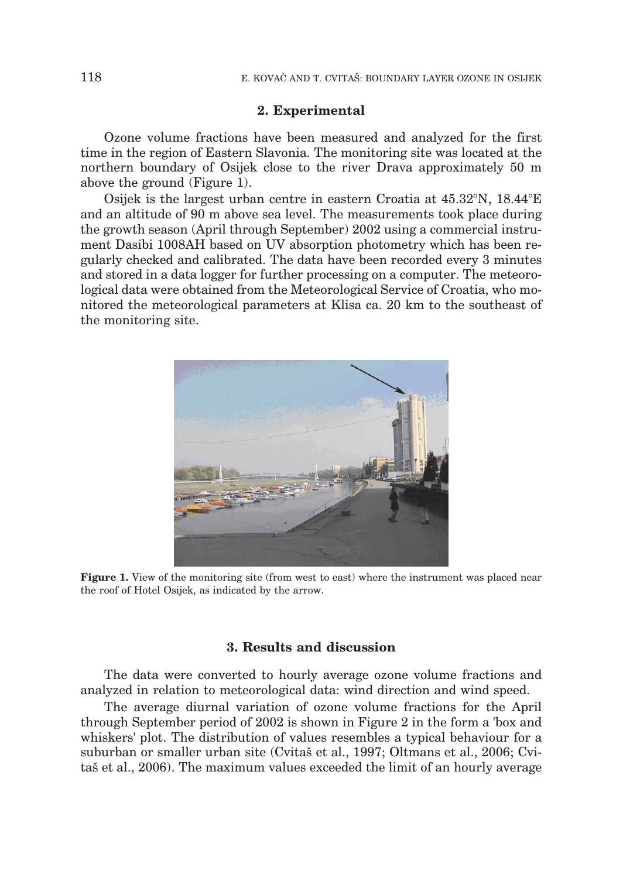### **2. Experimental**

Ozone volume fractions have been measured and analyzed for the first time in the region of Eastern Slavonia. The monitoring site was located at the northern boundary of Osijek close to the river Drava approximately 50 m above the ground (Figure 1).

Osijek is the largest urban centre in eastern Croatia at 45.32°N, 18.44°E and an altitude of 90 m above sea level. The measurements took place during the growth season (April through September) 2002 using a commercial instrument Dasibi 1008AH based on UV absorption photometry which has been regularly checked and calibrated. The data have been recorded every 3 minutes and stored in a data logger for further processing on a computer. The meteorological data were obtained from the Meteorological Service of Croatia, who monitored the meteorological parameters at Klisa ca. 20 km to the southeast of the monitoring site.



**Figure 1.** View of the monitoring site (from west to east) where the instrument was placed near the roof of Hotel Osijek, as indicated by the arrow.

## **3. Results and discussion**

The data were converted to hourly average ozone volume fractions and analyzed in relation to meteorological data: wind direction and wind speed.

The average diurnal variation of ozone volume fractions for the April through September period of 2002 is shown in Figure 2 in the form a 'box and whiskers' plot. The distribution of values resembles a typical behaviour for a suburban or smaller urban site (Cvitas et al., 1997; Oltmans et al., 2006; Cvita<sub>š</sub> et al., 2006). The maximum values exceeded the limit of an hourly average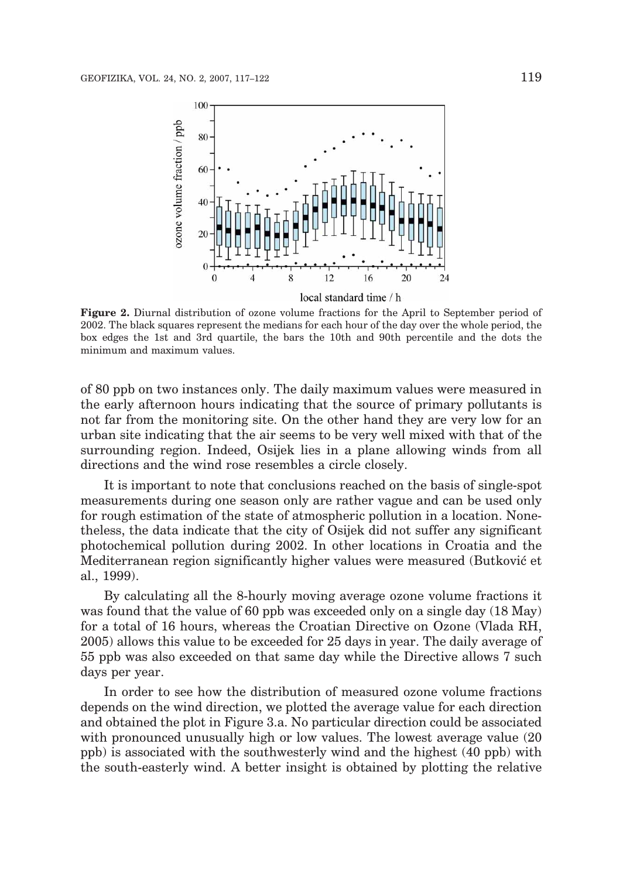

**Figure 2.** Diurnal distribution of ozone volume fractions for the April to September period of 2002. The black squares represent the medians for each hour of the day over the whole period, the box edges the 1st and 3rd quartile, the bars the 10th and 90th percentile and the dots the minimum and maximum values.

of 80 ppb on two instances only. The daily maximum values were measured in the early afternoon hours indicating that the source of primary pollutants is not far from the monitoring site. On the other hand they are very low for an urban site indicating that the air seems to be very well mixed with that of the surrounding region. Indeed, Osijek lies in a plane allowing winds from all directions and the wind rose resembles a circle closely.

It is important to note that conclusions reached on the basis of single-spot measurements during one season only are rather vague and can be used only for rough estimation of the state of atmospheric pollution in a location. Nonetheless, the data indicate that the city of Osijek did not suffer any significant photochemical pollution during 2002. In other locations in Croatia and the Mediterranean region significantly higher values were measured (Butković et al., 1999).

By calculating all the 8-hourly moving average ozone volume fractions it was found that the value of 60 ppb was exceeded only on a single day (18 May) for a total of 16 hours, whereas the Croatian Directive on Ozone (Vlada RH, 2005) allows this value to be exceeded for 25 days in year. The daily average of 55 ppb was also exceeded on that same day while the Directive allows 7 such days per year.

In order to see how the distribution of measured ozone volume fractions depends on the wind direction, we plotted the average value for each direction and obtained the plot in Figure 3.a. No particular direction could be associated with pronounced unusually high or low values. The lowest average value (20 ppb) is associated with the southwesterly wind and the highest (40 ppb) with the south-easterly wind. A better insight is obtained by plotting the relative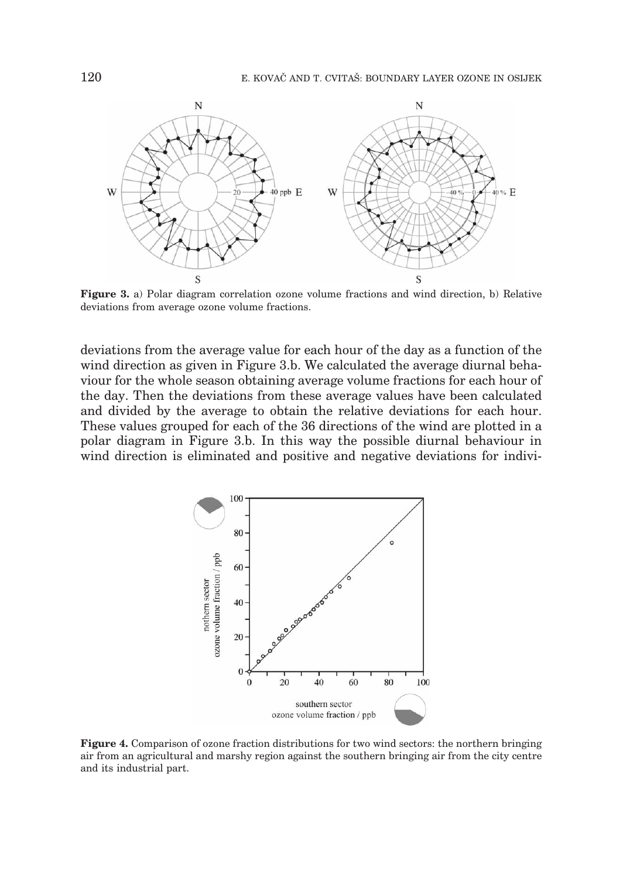

**Figure 3.** a) Polar diagram correlation ozone volume fractions and wind direction, b) Relative deviations from average ozone volume fractions.

deviations from the average value for each hour of the day as a function of the wind direction as given in Figure 3.b. We calculated the average diurnal behaviour for the whole season obtaining average volume fractions for each hour of the day. Then the deviations from these average values have been calculated and divided by the average to obtain the relative deviations for each hour. These values grouped for each of the 36 directions of the wind are plotted in a polar diagram in Figure 3.b. In this way the possible diurnal behaviour in wind direction is eliminated and positive and negative deviations for indivi-



**Figure 4.** Comparison of ozone fraction distributions for two wind sectors: the northern bringing air from an agricultural and marshy region against the southern bringing air from the city centre and its industrial part.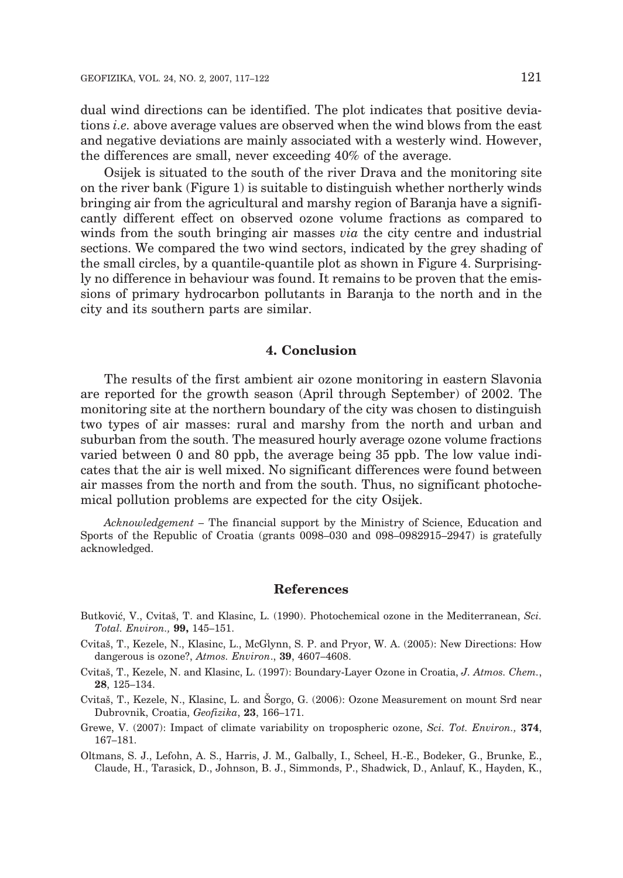dual wind directions can be identified. The plot indicates that positive deviations *i.e.* above average values are observed when the wind blows from the east and negative deviations are mainly associated with a westerly wind. However, the differences are small, never exceeding 40% of the average.

Osijek is situated to the south of the river Drava and the monitoring site on the river bank (Figure 1) is suitable to distinguish whether northerly winds bringing air from the agricultural and marshy region of Baranja have a significantly different effect on observed ozone volume fractions as compared to winds from the south bringing air masses *via* the city centre and industrial sections. We compared the two wind sectors, indicated by the grey shading of the small circles, by a quantile-quantile plot as shown in Figure 4. Surprisingly no difference in behaviour was found. It remains to be proven that the emissions of primary hydrocarbon pollutants in Baranja to the north and in the city and its southern parts are similar.

#### **4. Conclusion**

The results of the first ambient air ozone monitoring in eastern Slavonia are reported for the growth season (April through September) of 2002. The monitoring site at the northern boundary of the city was chosen to distinguish two types of air masses: rural and marshy from the north and urban and suburban from the south. The measured hourly average ozone volume fractions varied between 0 and 80 ppb, the average being 35 ppb. The low value indicates that the air is well mixed. No significant differences were found between air masses from the north and from the south. Thus, no significant photochemical pollution problems are expected for the city Osijek.

*Acknowledgement* – The financial support by the Ministry of Science, Education and Sports of the Republic of Croatia (grants 0098–030 and 098–0982915–2947) is gratefully acknowledged.

#### **References**

- Butković, V., Cvitaš, T. and Klasinc, L. (1990). Photochemical ozone in the Mediterranean, *Sci. Total. Environ.,* **99,** 145–151.
- Cvita{, T., Kezele, N., Klasinc, L., McGlynn, S. P. and Pryor, W. A. (2005): New Directions: How dangerous is ozone?, *Atmos. Environ*., **39**, 4607–4608.
- Cvita{, T., Kezele, N. and Klasinc, L. (1997): Boundary-Layer Ozone in Croatia, *J. Atmos. Chem.*, **28**, 125–134.
- Cvitaš, T., Kezele, N., Klasinc, L. and Šorgo, G. (2006): Ozone Measurement on mount Srd near Dubrovnik, Croatia, *Geofizika*, **23**, 166–171.
- Grewe, V. (2007): Impact of climate variability on tropospheric ozone, *Sci. Tot. Environ.,* **374**, 167–181.

Oltmans, S. J., Lefohn, A. S., Harris, J. M., Galbally, I., Scheel, H.-E., Bodeker, G., Brunke, E., Claude, H., Tarasick, D., Johnson, B. J., Simmonds, P., Shadwick, D., Anlauf, K., Hayden, K.,